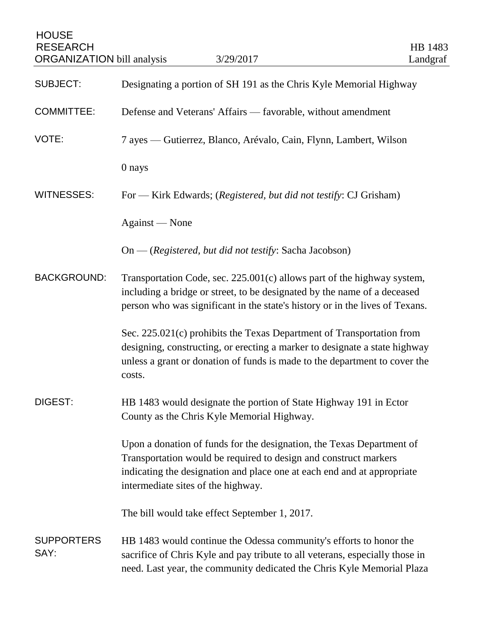| <b>HOUSE</b><br><b>RESEARCH</b><br><b>ORGANIZATION</b> bill analysis | 3/29/2017                                                                                                                                                                                                                                                  | HB 1483<br>Landgraf |
|----------------------------------------------------------------------|------------------------------------------------------------------------------------------------------------------------------------------------------------------------------------------------------------------------------------------------------------|---------------------|
| <b>SUBJECT:</b>                                                      | Designating a portion of SH 191 as the Chris Kyle Memorial Highway                                                                                                                                                                                         |                     |
| <b>COMMITTEE:</b>                                                    | Defense and Veterans' Affairs — favorable, without amendment                                                                                                                                                                                               |                     |
| VOTE:                                                                | 7 ayes — Gutierrez, Blanco, Arévalo, Cain, Flynn, Lambert, Wilson                                                                                                                                                                                          |                     |
|                                                                      | 0 nays                                                                                                                                                                                                                                                     |                     |
| <b>WITNESSES:</b>                                                    | For — Kirk Edwards; (Registered, but did not testify: CJ Grisham)                                                                                                                                                                                          |                     |
|                                                                      | Against — None                                                                                                                                                                                                                                             |                     |
|                                                                      | $On - (registered, but did not testify: Sacha Jacobson)$                                                                                                                                                                                                   |                     |
| <b>BACKGROUND:</b>                                                   | Transportation Code, sec. $225.001(c)$ allows part of the highway system,<br>including a bridge or street, to be designated by the name of a deceased<br>person who was significant in the state's history or in the lives of Texans.                      |                     |
|                                                                      | Sec. 225.021(c) prohibits the Texas Department of Transportation from<br>designing, constructing, or erecting a marker to designate a state highway<br>unless a grant or donation of funds is made to the department to cover the<br>costs.                |                     |
| DIGEST:                                                              | HB 1483 would designate the portion of State Highway 191 in Ector<br>County as the Chris Kyle Memorial Highway.                                                                                                                                            |                     |
|                                                                      | Upon a donation of funds for the designation, the Texas Department of<br>Transportation would be required to design and construct markers<br>indicating the designation and place one at each end and at appropriate<br>intermediate sites of the highway. |                     |
|                                                                      | The bill would take effect September 1, 2017.                                                                                                                                                                                                              |                     |
| <b>SUPPORTERS</b><br>SAY:                                            | HB 1483 would continue the Odessa community's efforts to honor the<br>sacrifice of Chris Kyle and pay tribute to all veterans, especially those in<br>need. Last year, the community dedicated the Chris Kyle Memorial Plaza                               |                     |